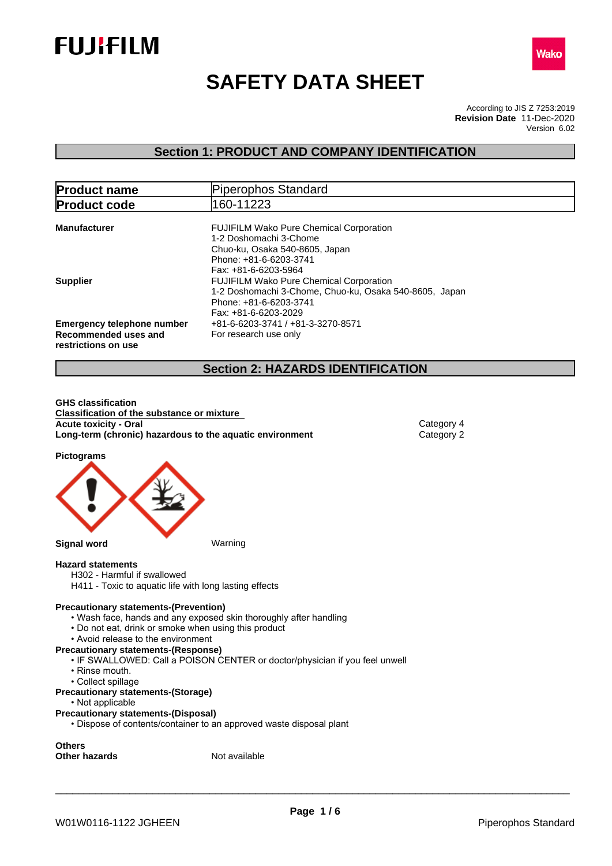



# **SAFETY DATA SHEET**

According to JIS Z 7253:2019 Version 6.02 **Revision Date** 11-Dec-2020

### **Section 1: PRODUCT AND COMPANY IDENTIFICATION**

| <b>Product name</b>                                                              | Piperophos Standard                                                                                                                                        |
|----------------------------------------------------------------------------------|------------------------------------------------------------------------------------------------------------------------------------------------------------|
| <b>Product code</b>                                                              | 160-11223                                                                                                                                                  |
| <b>Manufacturer</b>                                                              | <b>FUJIFILM Wako Pure Chemical Corporation</b><br>1-2 Doshomachi 3-Chome                                                                                   |
|                                                                                  | Chuo-ku, Osaka 540-8605, Japan<br>Phone: +81-6-6203-3741<br>Fax: +81-6-6203-5964                                                                           |
| <b>Supplier</b>                                                                  | <b>FUJIFILM Wako Pure Chemical Corporation</b><br>1-2 Doshomachi 3-Chome, Chuo-ku, Osaka 540-8605, Japan<br>Phone: +81-6-6203-3741<br>Fax: +81-6-6203-2029 |
| <b>Emergency telephone number</b><br>Recommended uses and<br>restrictions on use | +81-6-6203-3741 / +81-3-3270-8571<br>For research use only                                                                                                 |

### **Section 2: HAZARDS IDENTIFICATION**

**GHS classification Classification of the substance or mixture Acute toxicity - Oral** Category 4<br> **Long-term (chronic) hazardous to the aquatic environment** Category 2 **Long-term (chronic) hazardous to the aquatic environment** 

**Pictograms**



**Hazard statements**

H302 - Harmful if swallowed

H411 - Toxic to aquatic life with long lasting effects

#### **Precautionary statements-(Prevention)**

- Wash face, hands and any exposed skin thoroughly after handling
- Do not eat, drink or smoke when using this product
- Avoid release to the environment

#### **Precautionary statements-(Response)**

- IF SWALLOWED: Call a POISON CENTER or doctor/physician if you feel unwell
- Rinse mouth.
- Collect spillage

#### **Precautionary statements-(Storage)**

• Not applicable

#### **Precautionary statements-(Disposal)**

• Dispose of contents/container to an approved waste disposal plant

**Others Other hazards** Not available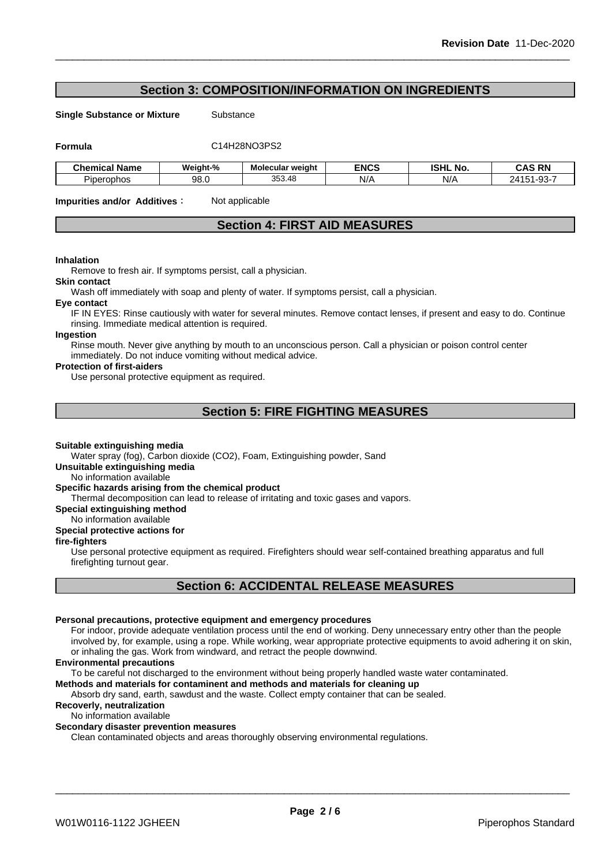### **Section 3: COMPOSITION/INFORMATION ON INGREDIENTS**

**Single Substance or Mixture** Substance

**Formula** C14H28NO3PS2

| <b>Chemical Name</b> | Weight-%         | Molecular weight | <b>ENCS</b> | ISHL<br>NO. | <b>RN</b><br><b>CAS</b>                          |
|----------------------|------------------|------------------|-------------|-------------|--------------------------------------------------|
| Piperophos           | 98. <sub>0</sub> | 353.48           | N/A         | N//         | $\sim$ $\sim$<br>ר ב⊄<br>וט-ור<br>$\cdot$<br>ັບປ |

**Impurities and/or Additives CO** Not applicable

### **Section 4: FIRST AID MEASURES**

#### **Inhalation**

Remove to fresh air. If symptoms persist, call a physician.

#### **Skin contact**

Wash off immediately with soap and plenty of water. If symptoms persist, call a physician.

#### **Eye contact**

IF IN EYES: Rinse cautiously with water for several minutes. Remove contact lenses, if present and easy to do. Continue rinsing. Immediate medical attention is required.

#### **Ingestion**

Rinse mouth. Never give anything by mouth to an unconscious person. Call a physician or poison control center immediately. Do not induce vomiting without medical advice.

#### **Protection of first-aiders**

Use personal protective equipment as required.

### **Section 5: FIRE FIGHTING MEASURES**

#### **Suitable extinguishing media**

Water spray (fog), Carbon dioxide (CO2), Foam, Extinguishing powder, Sand

**Unsuitable extinguishing media**

No information available

#### **Specific hazards arising from the chemical product**

Thermal decomposition can lead to release of irritating and toxic gases and vapors.

**Special extinguishing method**

### No information available

#### **Special protective actions for**

#### **fire-fighters**

Use personal protective equipment as required.Firefighters should wear self-contained breathing apparatus and full firefighting turnout gear.

### **Section 6: ACCIDENTAL RELEASE MEASURES**

#### **Personal precautions, protective equipment and emergency procedures**

For indoor, provide adequate ventilation process until the end of working. Deny unnecessary entry other than the people involved by, for example, using a rope. While working, wear appropriate protective equipments to avoid adhering it on skin, or inhaling the gas. Work from windward, and retract the people downwind.

#### **Environmental precautions**

To be careful not discharged to the environment without being properly handled waste water contaminated.

### **Methods and materials for contaminent and methods and materials for cleaning up**

Absorb dry sand, earth, sawdust and the waste. Collect empty container that can be sealed.

### **Recoverly, neutralization**

#### No information available

### **Secondary disaster prevention measures**

Clean contaminated objects and areas thoroughly observing environmental regulations.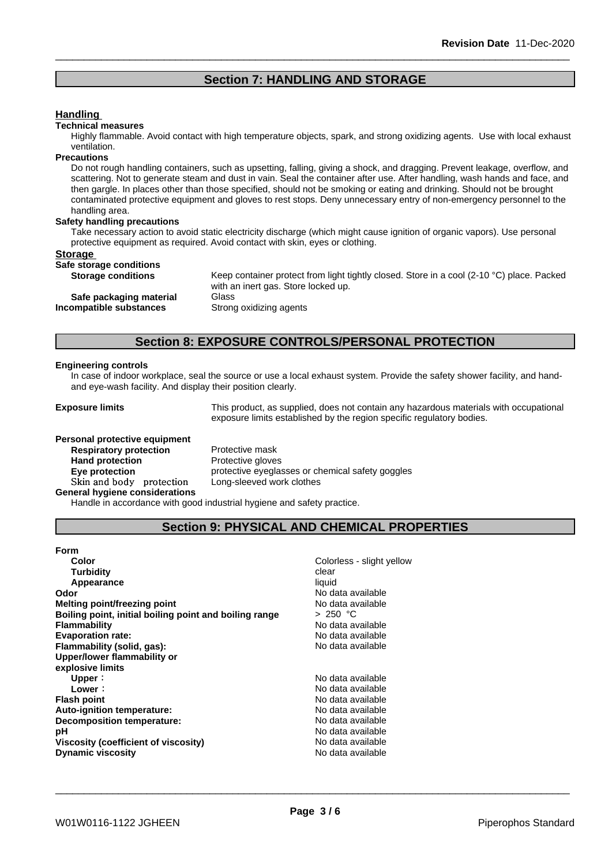### **Section 7: HANDLING AND STORAGE**

#### **Handling**

#### **Technical measures**

Highly flammable. Avoid contact with high temperature objects, spark, and strong oxidizing agents. Use with local exhaust ventilation.

#### **Precautions**

Do not rough handling containers, such as upsetting, falling, giving a shock, and dragging. Prevent leakage, overflow, and scattering. Not to generate steam and dust in vain. Seal the container after use. After handling, wash hands and face, and then gargle. In places other than those specified, should not be smoking or eating and drinking. Should not be brought contaminated protective equipment and gloves to rest stops. Deny unnecessary entry of non-emergency personnel to the handling area.

#### **Safety handling precautions**

Take necessary action to avoid static electricity discharge (which might cause ignition of organic vapors). Use personal protective equipment as required. Avoid contact with skin, eyes or clothing.

#### **Storage**

#### **Safe storage conditions**

| sars ocorage containsing |  |                           |  |  |  |  |  |
|--------------------------|--|---------------------------|--|--|--|--|--|
|                          |  | <b>Storage conditions</b> |  |  |  |  |  |

Keep container protect from light tightly closed. Store in a cool (2-10 °C) place. Packed with an inert gas. Store locked up.

**Safe packaging material** Glass **Incompatible substances** Strong oxidizing agents

### **Section 8: EXPOSURE CONTROLS/PERSONAL PROTECTION**

#### **Engineering controls**

In case of indoor workplace, seal the source or use a local exhaust system. Provide the safety shower facility, and handand eye-wash facility. And display their position clearly.

**Exposure limits** This product, as supplied, does not contain any hazardous materials with occupational exposure limits established by the region specific regulatory bodies.

**Personal protective equipment Respiratory protection** Protective mask Hand protection **Protective gloves Skinandbody protection** Long-sleeved work clothes **General hygiene considerations**

**Eye protection Exercise** protective eyeglasses or chemical safety goggles

Handle in accordance with good industrial hygiene and safety practice.

### **Section 9: PHYSICAL AND CHEMICAL PROPERTIES**

| Form                                                   |                           |
|--------------------------------------------------------|---------------------------|
| Color                                                  | Colorless - slight yellow |
| <b>Turbidity</b>                                       | clear                     |
| Appearance                                             | liquid                    |
| Odor                                                   | No data available         |
| Melting point/freezing point                           | No data available         |
| Boiling point, initial boiling point and boiling range | > 250 °C                  |
| Flammability                                           | No data available         |
| <b>Evaporation rate:</b>                               | No data available         |
| Flammability (solid, gas):                             | No data available         |
| Upper/lower flammability or                            |                           |
| explosive limits                                       |                           |
| Upper:                                                 | No data available         |
| Lower:                                                 | No data available         |
| <b>Flash point</b>                                     | No data available         |
| Auto-ignition temperature:                             | No data available         |
| Decomposition temperature:                             | No data available         |
| рH                                                     | No data available         |
| Viscosity (coefficient of viscosity)                   | No data available         |
| <b>Dynamic viscosity</b>                               | No data available         |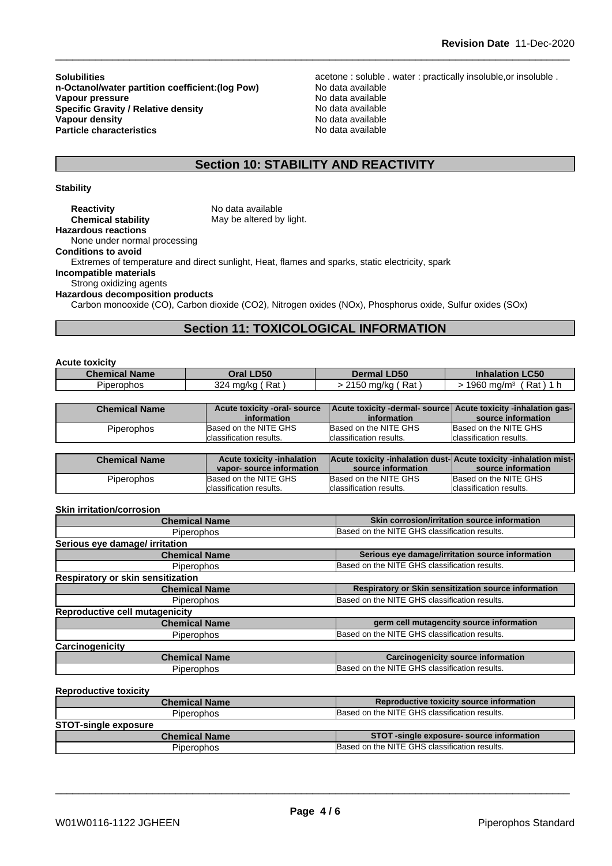**n-Octanol/water partition coefficient:(log Pow) No data available<br>
<b>Vapour pressure** No data available **Vapour pressure** No data available and the No data available and the No data available **Specific Gravity / Relative density No data available** No data available **Vapour density**<br> **Vapour density**<br> **Particle characteristics**<br> **Particle characteristics**<br> **No data available Particle characteristics** 

**Solubilities**<br> **n-Octanol/water partition coefficient:(log Pow)** acetone : soluble . water : practically insoluble,or insoluble .<br>
No data available

## **Section 10: STABILITY AND REACTIVITY**

#### **Stability**

| <b>Reactivity</b>                       | No data available                                                                                         |
|-----------------------------------------|-----------------------------------------------------------------------------------------------------------|
| <b>Chemical stability</b>               | May be altered by light.                                                                                  |
| <b>Hazardous reactions</b>              |                                                                                                           |
| None under normal processing            |                                                                                                           |
| <b>Conditions to avoid</b>              |                                                                                                           |
|                                         | Extremes of temperature and direct sunlight, Heat, flames and sparks, static electricity, spark           |
| Incompatible materials                  |                                                                                                           |
| Strong oxidizing agents                 |                                                                                                           |
| <b>Hazardous decomposition products</b> |                                                                                                           |
|                                         | Carbon monooxide (CO), Carbon dioxide (CO2), Nitrogen oxides (NOx), Phosphorus oxide, Sulfur oxides (SOx) |
|                                         |                                                                                                           |

### **Section 11: TOXICOLOGICAL INFORMATION**

| <b>Acute toxicity</b> |                              |                          |                                                                |
|-----------------------|------------------------------|--------------------------|----------------------------------------------------------------|
| <b>Chemical Name</b>  | Oral LD50                    | <b>Dermal LD50</b>       | <b>Inhalation LC50</b>                                         |
| <b>Piperophos</b>     | 324 mg/kg (Rat)              | > 2150 mg/kg (Rat)       | $>$ 1960 mg/m <sup>3</sup> (Rat) 1 h                           |
|                       |                              |                          |                                                                |
| <b>Chemical Name</b>  | Acute toxicity -oral- source |                          | Acute toxicity -dermal- source Acute toxicity -inhalation gas- |
|                       | information                  | information              | source information                                             |
| Piperophos            | Based on the NITE GHS        | Based on the NITE GHS    | Based on the NITE GHS                                          |
|                       | Iclassification results.     | Iclassification results. | Iclassification results.                                       |

| <b>Chemical Name</b> | <b>Acute toxicity -inhalation</b><br>vapor-source information | Acute toxicity -inhalation dust-Acute toxicity -inhalation mist-<br>source information | source information       |
|----------------------|---------------------------------------------------------------|----------------------------------------------------------------------------------------|--------------------------|
| Piperophos           | Based on the NITE GHS                                         | Based on the NITE GHS                                                                  | Based on the NITE GHS    |
|                      | classification results.                                       | Iclassification results.                                                               | Iclassification results. |

#### **Skin irritation/corrosion**

| <b>Chemical Name</b>                  | Skin corrosion/irritation source information         |
|---------------------------------------|------------------------------------------------------|
| <b>Piperophos</b>                     | Based on the NITE GHS classification results.        |
| Serious eye damage/ irritation        |                                                      |
| <b>Chemical Name</b>                  | Serious eye damage/irritation source information     |
| <b>Piperophos</b>                     | Based on the NITE GHS classification results.        |
| Respiratory or skin sensitization     |                                                      |
| <b>Chemical Name</b>                  | Respiratory or Skin sensitization source information |
| <b>Piperophos</b>                     | Based on the NITE GHS classification results.        |
| <b>Reproductive cell mutagenicity</b> |                                                      |
| <b>Chemical Name</b>                  | germ cell mutagencity source information             |
| <b>Piperophos</b>                     | Based on the NITE GHS classification results.        |
| Carcinogenicity                       |                                                      |
| <b>Chemical Name</b>                  | <b>Carcinogenicity source information</b>            |
| <b>Piperophos</b>                     | Based on the NITE GHS classification results.        |
|                                       |                                                      |
| <b>Reproductive toxicity</b>          |                                                      |
|                                       |                                                      |

| <b>Chemical Name</b>        | Reproductive toxicity source information      |  |
|-----------------------------|-----------------------------------------------|--|
| <b>Piperophos</b>           | Based on the NITE GHS classification results. |  |
| <b>STOT-single exposure</b> |                                               |  |
| <b>Chemical Name</b>        | STOT -single exposure- source information     |  |
| <b>Piperophos</b>           | Based on the NITE GHS classification results. |  |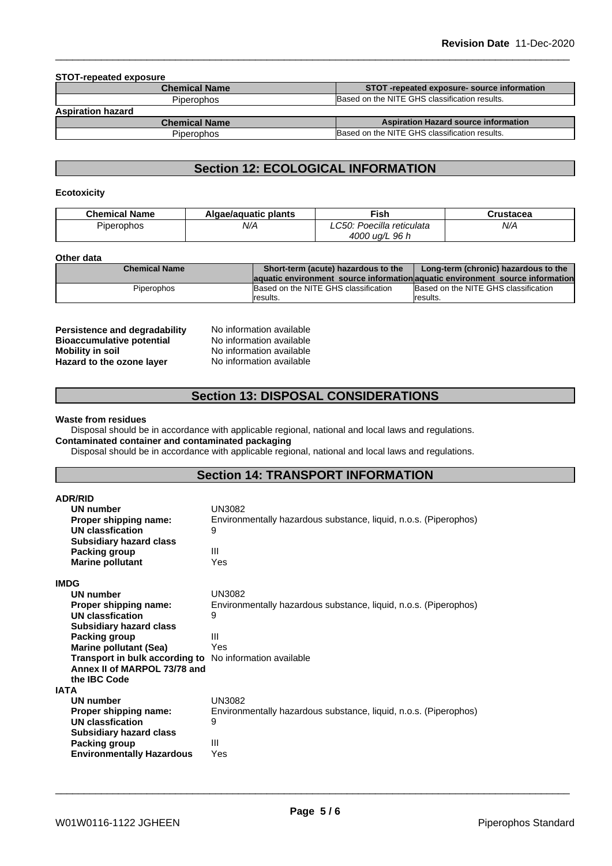#### **STOT-repeated exposure**

| <b>Chemical Name</b>     | STOT-repeated exposure-source information     |  |
|--------------------------|-----------------------------------------------|--|
| <b>Piperophos</b>        | Based on the NITE GHS classification results. |  |
| <b>Aspiration hazard</b> |                                               |  |
| <b>Chemical Name</b>     | <b>Aspiration Hazard source information</b>   |  |
| <b>Piperophos</b>        | Based on the NITE GHS classification results. |  |

## **Section 12: ECOLOGICAL INFORMATION**

#### **Ecotoxicity**

| <b>Chemical Name</b> | Algae/aguatic plants | ∹ish                                         | Crustacea |
|----------------------|----------------------|----------------------------------------------|-----------|
| Piperophos           | N/A                  | : Poecilla reticulata<br>$\cap$ 50 $\cdot$ + | N/A       |
|                      |                      | 4000 ug/L<br>96 h                            |           |

#### **Other data**

| <b>Chemical Name</b> | Short-term (acute) hazardous to the<br>Long-term (chronic) hazardous to the    |                                      |
|----------------------|--------------------------------------------------------------------------------|--------------------------------------|
|                      | laquatic environment source information aquatic environment source information |                                      |
| <b>Piperophos</b>    | Based on the NITE GHS classification                                           | Based on the NITE GHS classification |
|                      | Iresults.                                                                      | Iresults.                            |

**Persistence and degradability** No information available<br>**Bioaccumulative potential** No information available **Bioaccumulative potential Mobility in soil**<br> **Hazard to the ozone laver** Mo information available<br>
No information available **Hazard** to the ozone layer

### **Section 13: DISPOSAL CONSIDERATIONS**

#### **Waste from residues**

Disposal should be in accordance with applicable regional, national and local laws and regulations. **Contaminated container and contaminated packaging**

Disposal should be in accordance with applicable regional, national and local laws and regulations.

### **Section 14: TRANSPORT INFORMATION**

| <b>ADR/RID</b>                                          |                                                                  |  |  |  |  |
|---------------------------------------------------------|------------------------------------------------------------------|--|--|--|--|
| UN number                                               | UN3082                                                           |  |  |  |  |
| Proper shipping name:                                   | Environmentally hazardous substance, liquid, n.o.s. (Piperophos) |  |  |  |  |
| UN classfication                                        | 9                                                                |  |  |  |  |
| <b>Subsidiary hazard class</b>                          |                                                                  |  |  |  |  |
| Packing group                                           | $\mathbf{III}$                                                   |  |  |  |  |
| <b>Marine pollutant</b>                                 | Yes                                                              |  |  |  |  |
| <b>IMDG</b>                                             |                                                                  |  |  |  |  |
| <b>UN number</b>                                        | <b>UN3082</b>                                                    |  |  |  |  |
| Proper shipping name:                                   | Environmentally hazardous substance, liquid, n.o.s. (Piperophos) |  |  |  |  |
| UN classfication                                        | 9                                                                |  |  |  |  |
| <b>Subsidiary hazard class</b>                          |                                                                  |  |  |  |  |
| Packing group                                           | Ш                                                                |  |  |  |  |
| <b>Marine pollutant (Sea)</b>                           | Yes                                                              |  |  |  |  |
| Transport in bulk according to No information available |                                                                  |  |  |  |  |
| Annex II of MARPOL 73/78 and                            |                                                                  |  |  |  |  |
| the IBC Code                                            |                                                                  |  |  |  |  |
| <b>IATA</b>                                             |                                                                  |  |  |  |  |
| UN number                                               | UN3082                                                           |  |  |  |  |
| Proper shipping name:                                   | Environmentally hazardous substance, liquid, n.o.s. (Piperophos) |  |  |  |  |
| UN classfication                                        | 9                                                                |  |  |  |  |
| <b>Subsidiary hazard class</b>                          |                                                                  |  |  |  |  |
| Packing group                                           | Ш                                                                |  |  |  |  |
| <b>Environmentally Hazardous</b>                        | Yes                                                              |  |  |  |  |